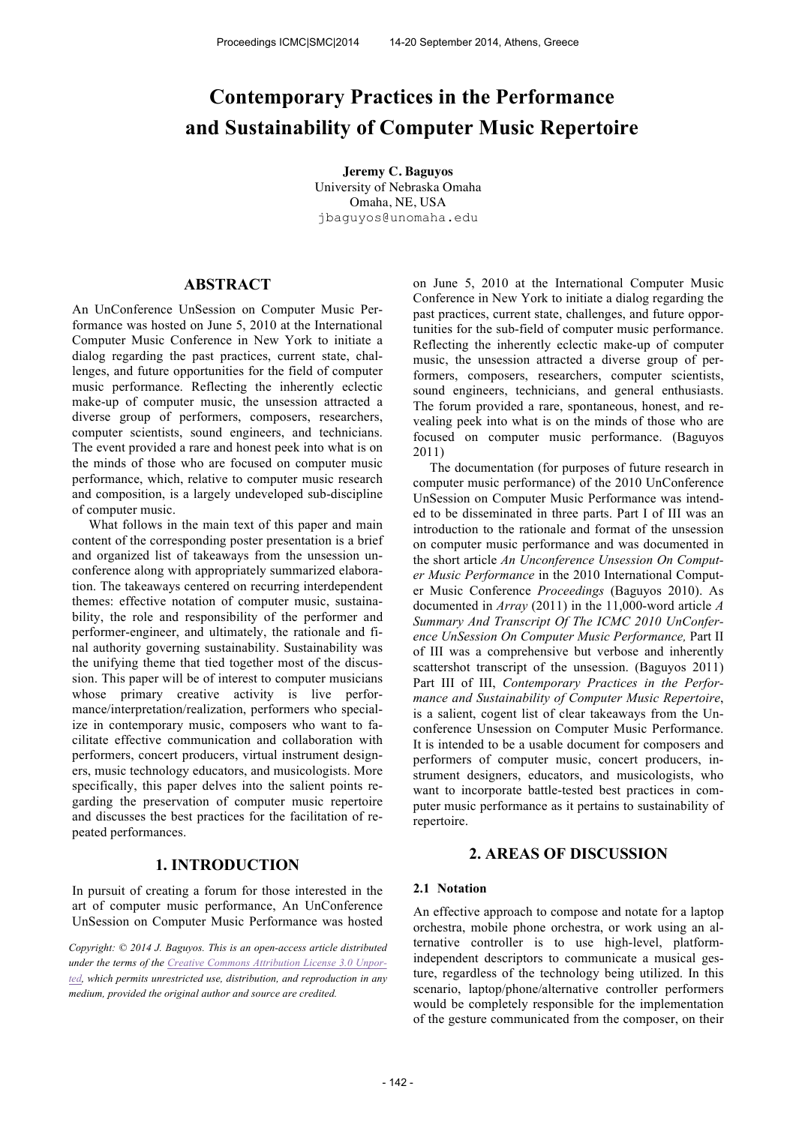# **Contemporary Practices in the Performance and Sustainability of Computer Music Repertoire**

**Jeremy C. Baguyos** University of Nebraska Omaha Omaha, NE, USA jbaguyos@unomaha.edu

## **ABSTRACT**

An UnConference UnSession on Computer Music Performance was hosted on June 5, 2010 at the International Computer Music Conference in New York to initiate a dialog regarding the past practices, current state, challenges, and future opportunities for the field of computer music performance. Reflecting the inherently eclectic make-up of computer music, the unsession attracted a diverse group of performers, composers, researchers, computer scientists, sound engineers, and technicians. The event provided a rare and honest peek into what is on the minds of those who are focused on computer music performance, which, relative to computer music research and composition, is a largely undeveloped sub-discipline of computer music.

 What follows in the main text of this paper and main content of the corresponding poster presentation is a brief and organized list of takeaways from the unsession unconference along with appropriately summarized elaboration. The takeaways centered on recurring interdependent themes: effective notation of computer music, sustainability, the role and responsibility of the performer and performer-engineer, and ultimately, the rationale and final authority governing sustainability. Sustainability was the unifying theme that tied together most of the discussion. This paper will be of interest to computer musicians whose primary creative activity is live performance/interpretation/realization, performers who specialize in contemporary music, composers who want to facilitate effective communication and collaboration with performers, concert producers, virtual instrument designers, music technology educators, and musicologists. More specifically, this paper delves into the salient points regarding the preservation of computer music repertoire and discusses the best practices for the facilitation of repeated performances.

### **1. INTRODUCTION**

In pursuit of creating a forum for those interested in the art of computer music performance, An UnConference UnSession on Computer Music Performance was hosted

*Copyright: © 2014 J. Baguyos. This is an open-access article distributed under the terms of the Creative Commons Attribution License 3.0 Unported, which permits unrestricted use, distribution, and reproduction in any medium, provided the original author and source are credited.*

on June 5, 2010 at the International Computer Music Conference in New York to initiate a dialog regarding the past practices, current state, challenges, and future opportunities for the sub-field of computer music performance. Reflecting the inherently eclectic make-up of computer music, the unsession attracted a diverse group of performers, composers, researchers, computer scientists, sound engineers, technicians, and general enthusiasts. The forum provided a rare, spontaneous, honest, and revealing peek into what is on the minds of those who are focused on computer music performance. (Baguyos 2011)

 The documentation (for purposes of future research in computer music performance) of the 2010 UnConference UnSession on Computer Music Performance was intended to be disseminated in three parts. Part I of III was an introduction to the rationale and format of the unsession on computer music performance and was documented in the short article *An Unconference Unsession On Computer Music Performance* in the 2010 International Computer Music Conference *Proceedings* (Baguyos 2010). As documented in *Array* (2011) in the 11,000-word article *A Summary And Transcript Of The ICMC 2010 UnConference UnSession On Computer Music Performance,* Part II of III was a comprehensive but verbose and inherently scattershot transcript of the unsession. (Baguyos 2011) Part III of III, *Contemporary Practices in the Performance and Sustainability of Computer Music Repertoire*, is a salient, cogent list of clear takeaways from the Unconference Unsession on Computer Music Performance. It is intended to be a usable document for composers and performers of computer music, concert producers, instrument designers, educators, and musicologists, who want to incorporate battle-tested best practices in computer music performance as it pertains to sustainability of repertoire.

# **2. AREAS OF DISCUSSION**

#### **2.1 Notation**

An effective approach to compose and notate for a laptop orchestra, mobile phone orchestra, or work using an alternative controller is to use high-level, platformindependent descriptors to communicate a musical gesture, regardless of the technology being utilized. In this scenario, laptop/phone/alternative controller performers would be completely responsible for the implementation of the gesture communicated from the composer, on their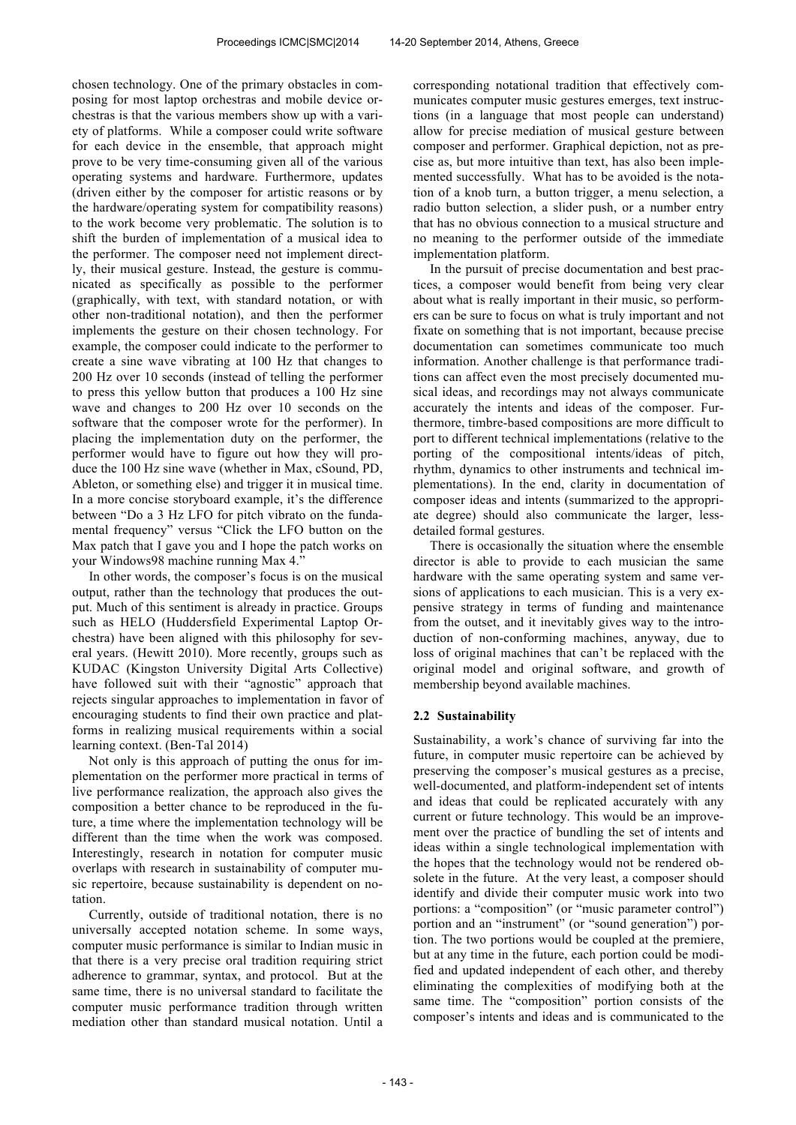chosen technology. One of the primary obstacles in composing for most laptop orchestras and mobile device orchestras is that the various members show up with a variety of platforms. While a composer could write software for each device in the ensemble, that approach might prove to be very time-consuming given all of the various operating systems and hardware. Furthermore, updates (driven either by the composer for artistic reasons or by the hardware/operating system for compatibility reasons) to the work become very problematic. The solution is to shift the burden of implementation of a musical idea to the performer. The composer need not implement directly, their musical gesture. Instead, the gesture is communicated as specifically as possible to the performer (graphically, with text, with standard notation, or with other non-traditional notation), and then the performer implements the gesture on their chosen technology. For example, the composer could indicate to the performer to create a sine wave vibrating at 100 Hz that changes to 200 Hz over 10 seconds (instead of telling the performer to press this yellow button that produces a 100 Hz sine wave and changes to 200 Hz over 10 seconds on the software that the composer wrote for the performer). In placing the implementation duty on the performer, the performer would have to figure out how they will produce the 100 Hz sine wave (whether in Max, cSound, PD, Ableton, or something else) and trigger it in musical time. In a more concise storyboard example, it's the difference between "Do a 3 Hz LFO for pitch vibrato on the fundamental frequency" versus "Click the LFO button on the Max patch that I gave you and I hope the patch works on your Windows98 machine running Max 4."

 In other words, the composer's focus is on the musical output, rather than the technology that produces the output. Much of this sentiment is already in practice. Groups such as HELO (Huddersfield Experimental Laptop Orchestra) have been aligned with this philosophy for several years. (Hewitt 2010). More recently, groups such as KUDAC (Kingston University Digital Arts Collective) have followed suit with their "agnostic" approach that rejects singular approaches to implementation in favor of encouraging students to find their own practice and platforms in realizing musical requirements within a social learning context. (Ben-Tal 2014)

 Not only is this approach of putting the onus for implementation on the performer more practical in terms of live performance realization, the approach also gives the composition a better chance to be reproduced in the future, a time where the implementation technology will be different than the time when the work was composed. Interestingly, research in notation for computer music overlaps with research in sustainability of computer music repertoire, because sustainability is dependent on notation.

 Currently, outside of traditional notation, there is no universally accepted notation scheme. In some ways, computer music performance is similar to Indian music in that there is a very precise oral tradition requiring strict adherence to grammar, syntax, and protocol. But at the same time, there is no universal standard to facilitate the computer music performance tradition through written mediation other than standard musical notation. Until a

corresponding notational tradition that effectively communicates computer music gestures emerges, text instructions (in a language that most people can understand) allow for precise mediation of musical gesture between composer and performer. Graphical depiction, not as precise as, but more intuitive than text, has also been implemented successfully. What has to be avoided is the notation of a knob turn, a button trigger, a menu selection, a radio button selection, a slider push, or a number entry that has no obvious connection to a musical structure and no meaning to the performer outside of the immediate implementation platform.

 In the pursuit of precise documentation and best practices, a composer would benefit from being very clear about what is really important in their music, so performers can be sure to focus on what is truly important and not fixate on something that is not important, because precise documentation can sometimes communicate too much information. Another challenge is that performance traditions can affect even the most precisely documented musical ideas, and recordings may not always communicate accurately the intents and ideas of the composer. Furthermore, timbre-based compositions are more difficult to port to different technical implementations (relative to the porting of the compositional intents/ideas of pitch, rhythm, dynamics to other instruments and technical implementations). In the end, clarity in documentation of composer ideas and intents (summarized to the appropriate degree) should also communicate the larger, lessdetailed formal gestures.

 There is occasionally the situation where the ensemble director is able to provide to each musician the same hardware with the same operating system and same versions of applications to each musician. This is a very expensive strategy in terms of funding and maintenance from the outset, and it inevitably gives way to the introduction of non-conforming machines, anyway, due to loss of original machines that can't be replaced with the original model and original software, and growth of membership beyond available machines.

### **2.2 Sustainability**

Sustainability, a work's chance of surviving far into the future, in computer music repertoire can be achieved by preserving the composer's musical gestures as a precise, well-documented, and platform-independent set of intents and ideas that could be replicated accurately with any current or future technology. This would be an improvement over the practice of bundling the set of intents and ideas within a single technological implementation with the hopes that the technology would not be rendered obsolete in the future. At the very least, a composer should identify and divide their computer music work into two portions: a "composition" (or "music parameter control") portion and an "instrument" (or "sound generation") portion. The two portions would be coupled at the premiere, but at any time in the future, each portion could be modified and updated independent of each other, and thereby eliminating the complexities of modifying both at the same time. The "composition" portion consists of the composer's intents and ideas and is communicated to the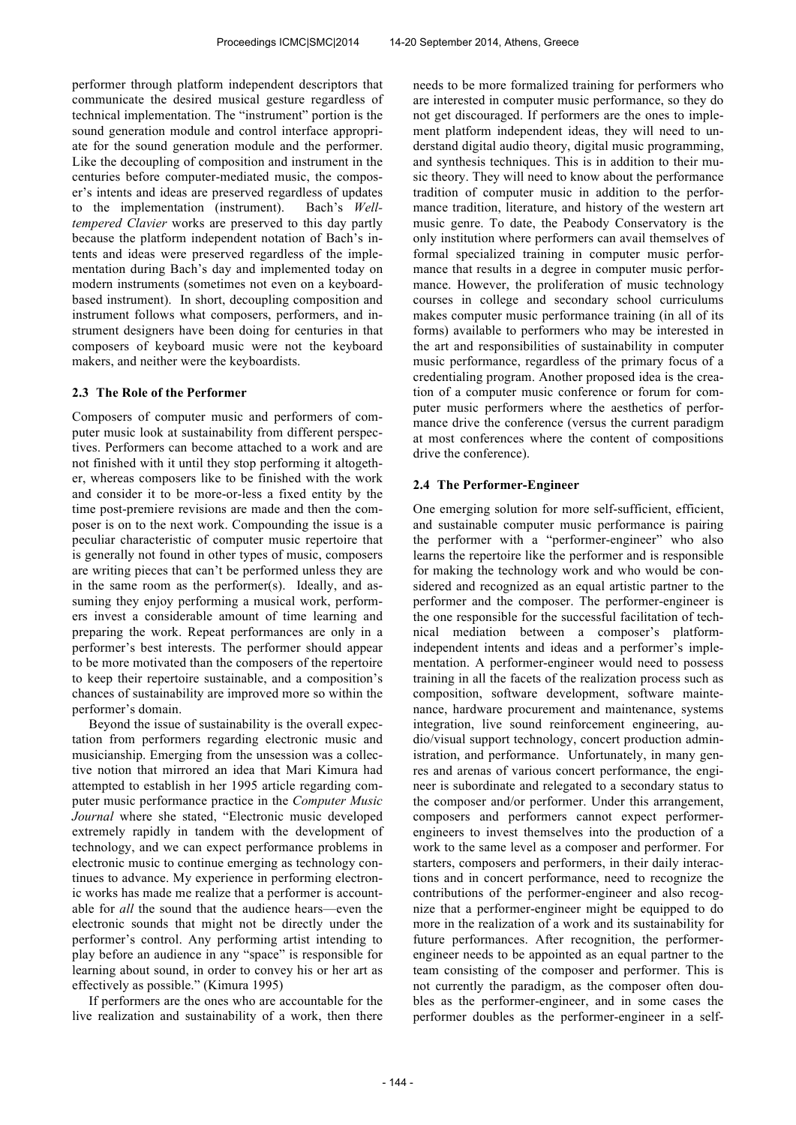performer through platform independent descriptors that communicate the desired musical gesture regardless of technical implementation. The "instrument" portion is the sound generation module and control interface appropriate for the sound generation module and the performer. Like the decoupling of composition and instrument in the centuries before computer-mediated music, the composer's intents and ideas are preserved regardless of updates to the implementation (instrument). Bach's *Welltempered Clavier* works are preserved to this day partly because the platform independent notation of Bach's intents and ideas were preserved regardless of the implementation during Bach's day and implemented today on modern instruments (sometimes not even on a keyboardbased instrument). In short, decoupling composition and instrument follows what composers, performers, and instrument designers have been doing for centuries in that composers of keyboard music were not the keyboard makers, and neither were the keyboardists.

### **2.3 The Role of the Performer**

Composers of computer music and performers of computer music look at sustainability from different perspectives. Performers can become attached to a work and are not finished with it until they stop performing it altogether, whereas composers like to be finished with the work and consider it to be more-or-less a fixed entity by the time post-premiere revisions are made and then the composer is on to the next work. Compounding the issue is a peculiar characteristic of computer music repertoire that is generally not found in other types of music, composers are writing pieces that can't be performed unless they are in the same room as the performer(s). Ideally, and assuming they enjoy performing a musical work, performers invest a considerable amount of time learning and preparing the work. Repeat performances are only in a performer's best interests. The performer should appear to be more motivated than the composers of the repertoire to keep their repertoire sustainable, and a composition's chances of sustainability are improved more so within the performer's domain.

 Beyond the issue of sustainability is the overall expectation from performers regarding electronic music and musicianship. Emerging from the unsession was a collective notion that mirrored an idea that Mari Kimura had attempted to establish in her 1995 article regarding computer music performance practice in the *Computer Music Journal* where she stated, "Electronic music developed extremely rapidly in tandem with the development of technology, and we can expect performance problems in electronic music to continue emerging as technology continues to advance. My experience in performing electronic works has made me realize that a performer is accountable for *all* the sound that the audience hears—even the electronic sounds that might not be directly under the performer's control. Any performing artist intending to play before an audience in any "space" is responsible for learning about sound, in order to convey his or her art as effectively as possible." (Kimura 1995)

 If performers are the ones who are accountable for the live realization and sustainability of a work, then there

needs to be more formalized training for performers who are interested in computer music performance, so they do not get discouraged. If performers are the ones to implement platform independent ideas, they will need to understand digital audio theory, digital music programming, and synthesis techniques. This is in addition to their music theory. They will need to know about the performance tradition of computer music in addition to the performance tradition, literature, and history of the western art music genre. To date, the Peabody Conservatory is the only institution where performers can avail themselves of formal specialized training in computer music performance that results in a degree in computer music performance. However, the proliferation of music technology courses in college and secondary school curriculums makes computer music performance training (in all of its forms) available to performers who may be interested in the art and responsibilities of sustainability in computer music performance, regardless of the primary focus of a credentialing program. Another proposed idea is the creation of a computer music conference or forum for computer music performers where the aesthetics of performance drive the conference (versus the current paradigm at most conferences where the content of compositions drive the conference).

#### **2.4 The Performer-Engineer**

One emerging solution for more self-sufficient, efficient, and sustainable computer music performance is pairing the performer with a "performer-engineer" who also learns the repertoire like the performer and is responsible for making the technology work and who would be considered and recognized as an equal artistic partner to the performer and the composer. The performer-engineer is the one responsible for the successful facilitation of technical mediation between a composer's platformindependent intents and ideas and a performer's implementation. A performer-engineer would need to possess training in all the facets of the realization process such as composition, software development, software maintenance, hardware procurement and maintenance, systems integration, live sound reinforcement engineering, audio/visual support technology, concert production administration, and performance. Unfortunately, in many genres and arenas of various concert performance, the engineer is subordinate and relegated to a secondary status to the composer and/or performer. Under this arrangement, composers and performers cannot expect performerengineers to invest themselves into the production of a work to the same level as a composer and performer. For starters, composers and performers, in their daily interactions and in concert performance, need to recognize the contributions of the performer-engineer and also recognize that a performer-engineer might be equipped to do more in the realization of a work and its sustainability for future performances. After recognition, the performerengineer needs to be appointed as an equal partner to the team consisting of the composer and performer. This is not currently the paradigm, as the composer often doubles as the performer-engineer, and in some cases the performer doubles as the performer-engineer in a self